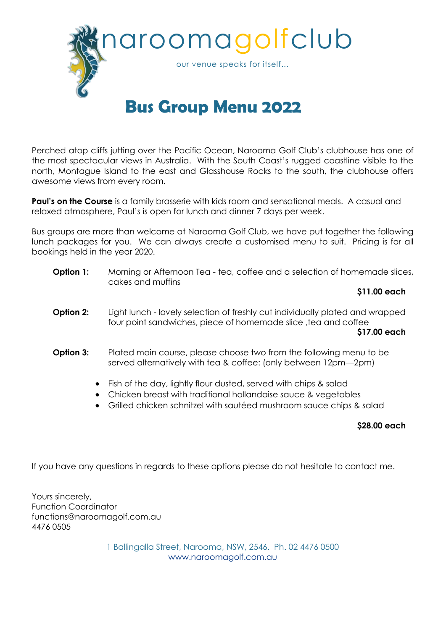

## **Bus Group Menu 2022**

Perched atop cliffs jutting over the Pacific Ocean, Narooma Golf Club's clubhouse has one of the most spectacular views in Australia. With the South Coast's rugged coastline visible to the north, Montague Island to the east and Glasshouse Rocks to the south, the clubhouse offers awesome views from every room.

**Paul's on the Course** is a family brasserie with kids room and sensational meals. A casual and relaxed atmosphere, Paul's is open for lunch and dinner 7 days per week.

Bus groups are more than welcome at Narooma Golf Club, we have put together the following lunch packages for you. We can always create a customised menu to suit. Pricing is for all bookings held in the year 2020.

**Option 1:** Morning or Afternoon Tea - tea, coffee and a selection of homemade slices, cakes and muffins

**\$11.00 each**

- **Option 2:** Light lunch lovely selection of freshly cut individually plated and wrapped four point sandwiches, piece of homemade slice, tea and coffee **\$17.00 each**
- **Option 3:** Plated main course, please choose two from the following menu to be served alternatively with tea & coffee: (only between 12pm—2pm)
	- Fish of the day, lightly flour dusted, served with chips & salad
	- Chicken breast with traditional hollandaise sauce & vegetables
	- Grilled chicken schnitzel with sautéed mushroom sauce chips & salad

## **\$28.00 each**

If you have any questions in regards to these options please do not hesitate to contact me.

Yours sincerely, Function Coordinator functions@naroomagolf.com.au 4476 0505

> 1 Ballingalla Street, Narooma, NSW, 2546. Ph. 02 4476 0500 www.naroomagolf.com.au